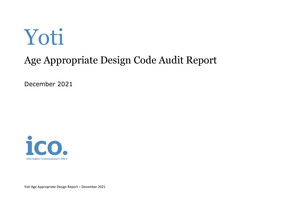# Yoti

### Age Appropriate Design Code Audit Report

December 2021



Yoti Age Appropriate Design Report – December 2021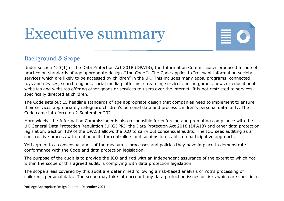## Executive summary



#### Background & Scope

Under section 123(1) of the Data Protection Act 2018 (DPA18), the Information Commissioner produced a code of practice on standards of age appropriate design ("the Code"). The Code applies to "relevant information society services which are likely to be accessed by children" in the UK. This includes many apps, programs, connected toys and devices, search engines, social media platforms, streaming services, online games, news or educational websites and websites offering other goods or services to users over the internet. It is not restricted to services specifically directed at children.

The Code sets out 15 headline standards of age appropriate design that companies need to implement to ensure their services appropriately safeguard children's personal data and process children's personal data fairly. The Code came into force on 2 September 2021.

 More widely, the Information Commissioner is also responsible for enforcing and promoting compliance with the UK General Data Protection Regulation (UKGDPR), the Data Protection Act 2018 (DPA18) and other data protection legislation. Section 129 of the DPA18 allows the ICO to carry out consensual audits. The ICO sees auditing as a constructive process with real benefits for controllers and so aims to establish a participative approach.

 Yoti agreed to a consensual audit of the measures, processes and policies they have in place to demonstrate conformance with the Code and data protection legislation.

The purpose of the audit is to provide the ICO and Yoti with an independent assurance of the extent to which Yoti, within the scope of this agreed audit, is complying with data protection legislation.

 children's personal data. The scope may take into account any data protection issues or risks which are specific to The scope areas covered by this audit are determined following a risk-based analysis of Yoti's processing of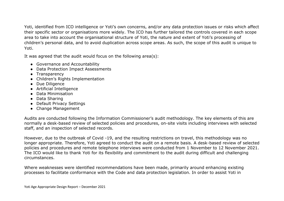children's personal data, and to avoid duplication across scope areas. As such, the scope of this audit is unique to Yoti, identified from ICO intelligence or Yoti's own concerns, and/or any data protection issues or risks which affect their specific sector or organisations more widely. The ICO has further tailored the controls covered in each scope area to take into account the organisational structure of Yoti, the nature and extent of Yoti's processing of Yoti.

It was agreed that the audit would focus on the following area(s):

- Governance and Accountability
- Data Protection Impact Assessments
- Transparency
- Children's Rights Implementation
- Due Diligence
- Artificial Intelligence
- Data Minimisation
- Data Sharing
- Default Privacy Settings
- Change Management

 normally a desk-based review of selected policies and procedures, on-site visits including interviews with selected Audits are conducted following the Information Commissioner's audit methodology. The key elements of this are staff, and an inspection of selected records.

 The ICO would like to thank Yoti for its flexibility and commitment to the audit during difficult and challenging However, due to the outbreak of Covid -19, and the resulting restrictions on travel, this methodology was no longer appropriate. Therefore, Yoti agreed to conduct the audit on a remote basis. A desk-based review of selected policies and procedures and remote telephone interviews were conducted from 1 November to 12 November 2021. circumstances.

Where weaknesses were identified recommendations have been made, primarily around enhancing existing processes to facilitate conformance with the Code and data protection legislation. In order to assist Yoti in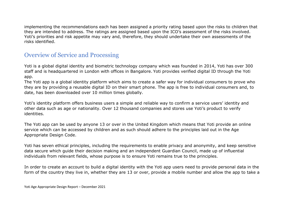Yoti's priorities and risk appetite may vary and, therefore, they should undertake their own assessments of the implementing the recommendations each has been assigned a priority rating based upon the risks to children that they are intended to address. The ratings are assigned based upon the ICO's assessment of the risks involved. risks identified.

#### Overview of Service and Processing

Yoti is a global digital identity and biometric technology company which was founded in 2014, Yoti has over 300 staff and is headquartered in London with offices in Bangalore. Yoti provides verified digital ID through the Yoti app.

 they are by providing a reusable digital ID on their smart phone. The app is free to individual consumers and, to The Yoti app is a global identity platform which aims to create a safer way for individual consumers to prove who date, has been downloaded over 10 million times globally.

 other data such as age or nationality. Over 12 thousand companies and stores use Yoti's product to verify Yoti's identity platform offers business users a simple and reliable way to confirm a service users' identity and identities.

 Appropriate Design Code. The Yoti app can be used by anyone 13 or over in the United Kingdom which means that Yoti provide an online service which can be accessed by children and as such should adhere to the principles laid out in the Age

Yoti has seven ethical principles, including the requirements to enable privacy and anonymity, and keep sensitive data secure which guide their decision making and an independent Guardian Council, made up of influential individuals from relevant fields, whose purpose is to ensure Yoti remains true to the principles.

In order to create an account to build a digital identity with the Yoti app users need to provide personal data in the form of the country they live in, whether they are 13 or over, provide a mobile number and allow the app to take a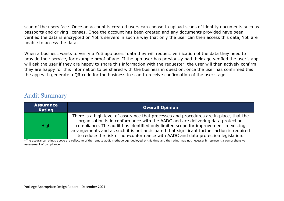scan of the users face. Once an account is created users can choose to upload scans of identity documents such as passports and driving licenses. Once the account has been created and any documents provided have been verified the data is encrypted on Yoti's servers in such a way that only the user can then access this data, Yoti are unable to access the data.

When a business wants to verify a Yoti app users' data they will request verification of the data they need to provide their service, for example proof of age. If the app user has previously had their age verified the user's app will ask the user if they are happy to share this information with the requester, the user will then actively confirm they are happy for this information to be shared with the business in question, once the user has confirmed this the app with generate a QR code for the business to scan to receive confirmation of the user's age.

#### Audit Summary

| <b>Assurance</b><br>Rating | <b>Overall Opinion</b>                                                                                                                                                                                                                                                                                                                                                                                                                              |
|----------------------------|-----------------------------------------------------------------------------------------------------------------------------------------------------------------------------------------------------------------------------------------------------------------------------------------------------------------------------------------------------------------------------------------------------------------------------------------------------|
| <b>High</b>                | There is a high level of assurance that processes and procedures are in place, that the<br>organisation is in conformance with the AADC and are delivering data protection<br>compliance. The audit has identified only limited scope for improvement in existing<br>arrangements and as such it is not anticipated that significant further action is required<br>to reduce the risk of non-conformance with AADC and data protection legislation. |

 \*The assurance ratings above are reflective of the remote audit methodology deployed at this time and the rating may not necessarily represent a comprehensive assessment of compliance.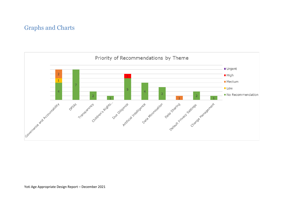#### Graphs and Charts